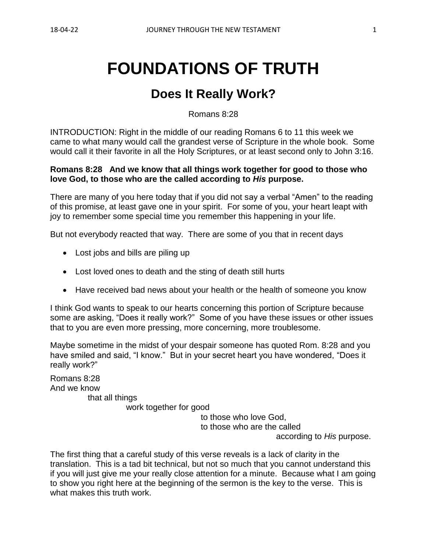# **FOUNDATIONS OF TRUTH**

# **Does It Really Work?**

Romans 8:28

INTRODUCTION: Right in the middle of our reading Romans 6 to 11 this week we came to what many would call the grandest verse of Scripture in the whole book. Some would call it their favorite in all the Holy Scriptures, or at least second only to John 3:16.

#### **Romans 8:28 And we know that all things work together for good to those who love God, to those who are the called according to** *His* **purpose.**

There are many of you here today that if you did not say a verbal "Amen" to the reading of this promise, at least gave one in your spirit. For some of you, your heart leapt with joy to remember some special time you remember this happening in your life.

But not everybody reacted that way. There are some of you that in recent days

- Lost jobs and bills are piling up
- Lost loved ones to death and the sting of death still hurts
- Have received bad news about your health or the health of someone you know

I think God wants to speak to our hearts concerning this portion of Scripture because some are asking, "Does it really work?" Some of you have these issues or other issues that to you are even more pressing, more concerning, more troublesome.

Maybe sometime in the midst of your despair someone has quoted Rom. 8:28 and you have smiled and said, "I know." But in your secret heart you have wondered, "Does it really work?"

Romans 8:28 And we know that all things

work together for good

to those who love God, to those who are the called according to *His* purpose.

The first thing that a careful study of this verse reveals is a lack of clarity in the translation. This is a tad bit technical, but not so much that you cannot understand this if you will just give me your really close attention for a minute. Because what I am going to show you right here at the beginning of the sermon is the key to the verse. This is what makes this truth work.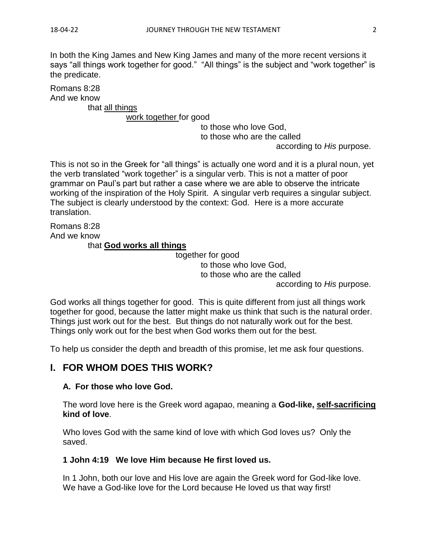In both the King James and New King James and many of the more recent versions it says "all things work together for good." "All things" is the subject and "work together" is the predicate.

Romans 8:28 And we know

that all things

work together for good

to those who love God,

to those who are the called

according to *His* purpose.

This is not so in the Greek for "all things" is actually one word and it is a plural noun, yet the verb translated "work together" is a singular verb. This is not a matter of poor grammar on Paul's part but rather a case where we are able to observe the intricate working of the inspiration of the Holy Spirit. A singular verb requires a singular subject. The subject is clearly understood by the context: God. Here is a more accurate translation.

Romans 8:28 And we know that **God works all things**

> together for good to those who love God, to those who are the called

according to *His* purpose.

God works all things together for good. This is quite different from just all things work together for good, because the latter might make us think that such is the natural order. Things just work out for the best. But things do not naturally work out for the best. Things only work out for the best when God works them out for the best.

To help us consider the depth and breadth of this promise, let me ask four questions.

# **I. FOR WHOM DOES THIS WORK?**

#### **A. For those who love God.**

The word love here is the Greek word agapao, meaning a **God-like, self-sacrificing kind of love**.

Who loves God with the same kind of love with which God loves us? Only the saved.

#### **1 John 4:19 We love Him because He first loved us.**

In 1 John, both our love and His love are again the Greek word for God-like love. We have a God-like love for the Lord because He loved us that way first!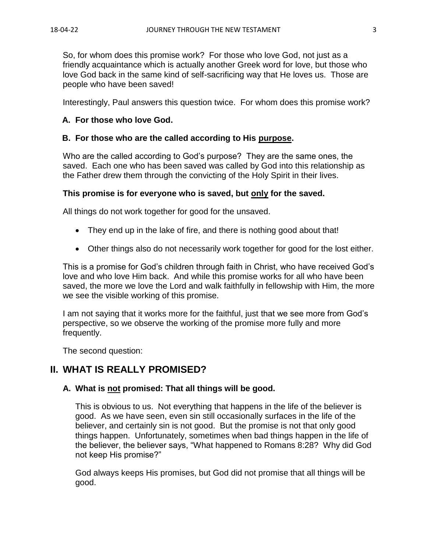So, for whom does this promise work? For those who love God, not just as a friendly acquaintance which is actually another Greek word for love, but those who love God back in the same kind of self-sacrificing way that He loves us. Those are people who have been saved!

Interestingly, Paul answers this question twice. For whom does this promise work?

#### **A. For those who love God.**

#### **B. For those who are the called according to His purpose.**

Who are the called according to God's purpose? They are the same ones, the saved. Each one who has been saved was called by God into this relationship as the Father drew them through the convicting of the Holy Spirit in their lives.

#### **This promise is for everyone who is saved, but only for the saved.**

All things do not work together for good for the unsaved.

- They end up in the lake of fire, and there is nothing good about that!
- Other things also do not necessarily work together for good for the lost either.

This is a promise for God's children through faith in Christ, who have received God's love and who love Him back. And while this promise works for all who have been saved, the more we love the Lord and walk faithfully in fellowship with Him, the more we see the visible working of this promise.

I am not saying that it works more for the faithful, just that we see more from God's perspective, so we observe the working of the promise more fully and more frequently.

The second question:

# **II. WHAT IS REALLY PROMISED?**

#### **A. What is not promised: That all things will be good.**

This is obvious to us. Not everything that happens in the life of the believer is good. As we have seen, even sin still occasionally surfaces in the life of the believer, and certainly sin is not good. But the promise is not that only good things happen. Unfortunately, sometimes when bad things happen in the life of the believer, the believer says, "What happened to Romans 8:28? Why did God not keep His promise?"

God always keeps His promises, but God did not promise that all things will be good.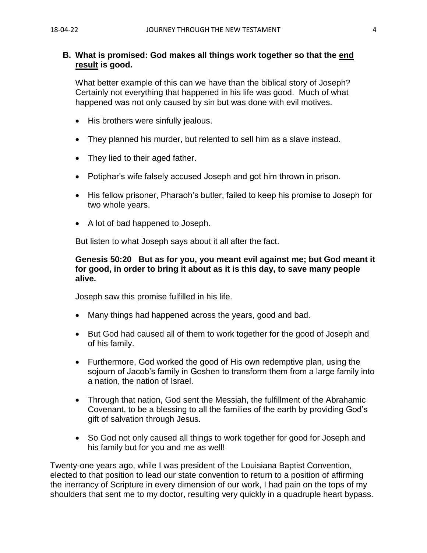#### **B. What is promised: God makes all things work together so that the end result is good.**

What better example of this can we have than the biblical story of Joseph? Certainly not everything that happened in his life was good. Much of what happened was not only caused by sin but was done with evil motives.

- His brothers were sinfully jealous.
- They planned his murder, but relented to sell him as a slave instead.
- They lied to their aged father.
- Potiphar's wife falsely accused Joseph and got him thrown in prison.
- His fellow prisoner, Pharaoh's butler, failed to keep his promise to Joseph for two whole years.
- A lot of bad happened to Joseph.

But listen to what Joseph says about it all after the fact.

#### **Genesis 50:20 But as for you, you meant evil against me; but God meant it for good, in order to bring it about as it is this day, to save many people alive.**

Joseph saw this promise fulfilled in his life.

- Many things had happened across the years, good and bad.
- But God had caused all of them to work together for the good of Joseph and of his family.
- Furthermore, God worked the good of His own redemptive plan, using the sojourn of Jacob's family in Goshen to transform them from a large family into a nation, the nation of Israel.
- Through that nation, God sent the Messiah, the fulfillment of the Abrahamic Covenant, to be a blessing to all the families of the earth by providing God's gift of salvation through Jesus.
- So God not only caused all things to work together for good for Joseph and his family but for you and me as well!

Twenty-one years ago, while I was president of the Louisiana Baptist Convention, elected to that position to lead our state convention to return to a position of affirming the inerrancy of Scripture in every dimension of our work, I had pain on the tops of my shoulders that sent me to my doctor, resulting very quickly in a quadruple heart bypass.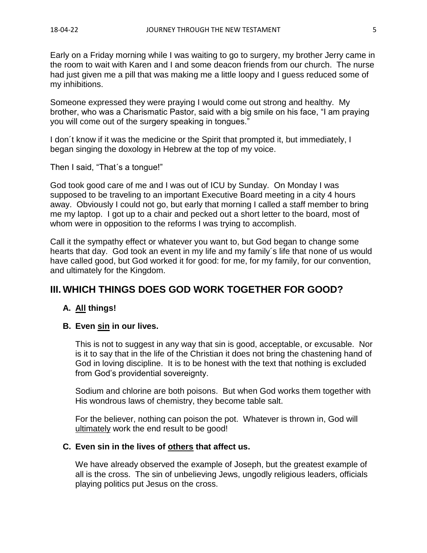Early on a Friday morning while I was waiting to go to surgery, my brother Jerry came in the room to wait with Karen and I and some deacon friends from our church. The nurse had just given me a pill that was making me a little loopy and I guess reduced some of my inhibitions.

Someone expressed they were praying I would come out strong and healthy. My brother, who was a Charismatic Pastor, said with a big smile on his face, "I am praying you will come out of the surgery speaking in tongues."

I don´t know if it was the medicine or the Spirit that prompted it, but immediately, I began singing the doxology in Hebrew at the top of my voice.

Then I said, "That´s a tongue!"

God took good care of me and I was out of ICU by Sunday. On Monday I was supposed to be traveling to an important Executive Board meeting in a city 4 hours away. Obviously I could not go, but early that morning I called a staff member to bring me my laptop. I got up to a chair and pecked out a short letter to the board, most of whom were in opposition to the reforms I was trying to accomplish.

Call it the sympathy effect or whatever you want to, but God began to change some hearts that day. God took an event in my life and my family´s life that none of us would have called good, but God worked it for good: for me, for my family, for our convention, and ultimately for the Kingdom.

# **III. WHICH THINGS DOES GOD WORK TOGETHER FOR GOOD?**

#### **A. All things!**

#### **B. Even sin in our lives.**

This is not to suggest in any way that sin is good, acceptable, or excusable. Nor is it to say that in the life of the Christian it does not bring the chastening hand of God in loving discipline. It is to be honest with the text that nothing is excluded from God's providential sovereignty.

Sodium and chlorine are both poisons. But when God works them together with His wondrous laws of chemistry, they become table salt.

For the believer, nothing can poison the pot. Whatever is thrown in, God will ultimately work the end result to be good!

#### **C. Even sin in the lives of others that affect us.**

We have already observed the example of Joseph, but the greatest example of all is the cross. The sin of unbelieving Jews, ungodly religious leaders, officials playing politics put Jesus on the cross.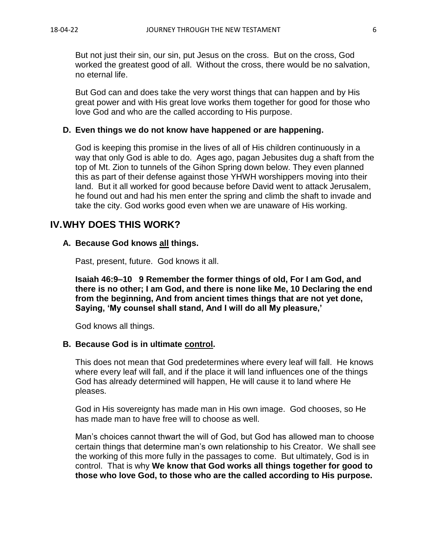But not just their sin, our sin, put Jesus on the cross. But on the cross, God worked the greatest good of all. Without the cross, there would be no salvation, no eternal life.

But God can and does take the very worst things that can happen and by His great power and with His great love works them together for good for those who love God and who are the called according to His purpose.

#### **D. Even things we do not know have happened or are happening.**

God is keeping this promise in the lives of all of His children continuously in a way that only God is able to do. Ages ago, pagan Jebusites dug a shaft from the top of Mt. Zion to tunnels of the Gihon Spring down below. They even planned this as part of their defense against those YHWH worshippers moving into their land. But it all worked for good because before David went to attack Jerusalem, he found out and had his men enter the spring and climb the shaft to invade and take the city. God works good even when we are unaware of His working.

### **IV.WHY DOES THIS WORK?**

#### **A. Because God knows all things.**

Past, present, future. God knows it all.

**Isaiah 46:9–10 9 Remember the former things of old, For I am God, and there is no other; I am God, and there is none like Me, 10 Declaring the end from the beginning, And from ancient times things that are not yet done, Saying, 'My counsel shall stand, And I will do all My pleasure,'** 

God knows all things.

#### **B. Because God is in ultimate control.**

This does not mean that God predetermines where every leaf will fall. He knows where every leaf will fall, and if the place it will land influences one of the things God has already determined will happen, He will cause it to land where He pleases.

God in His sovereignty has made man in His own image. God chooses, so He has made man to have free will to choose as well.

Man's choices cannot thwart the will of God, but God has allowed man to choose certain things that determine man's own relationship to his Creator. We shall see the working of this more fully in the passages to come. But ultimately, God is in control. That is why **We know that God works all things together for good to those who love God, to those who are the called according to His purpose.**